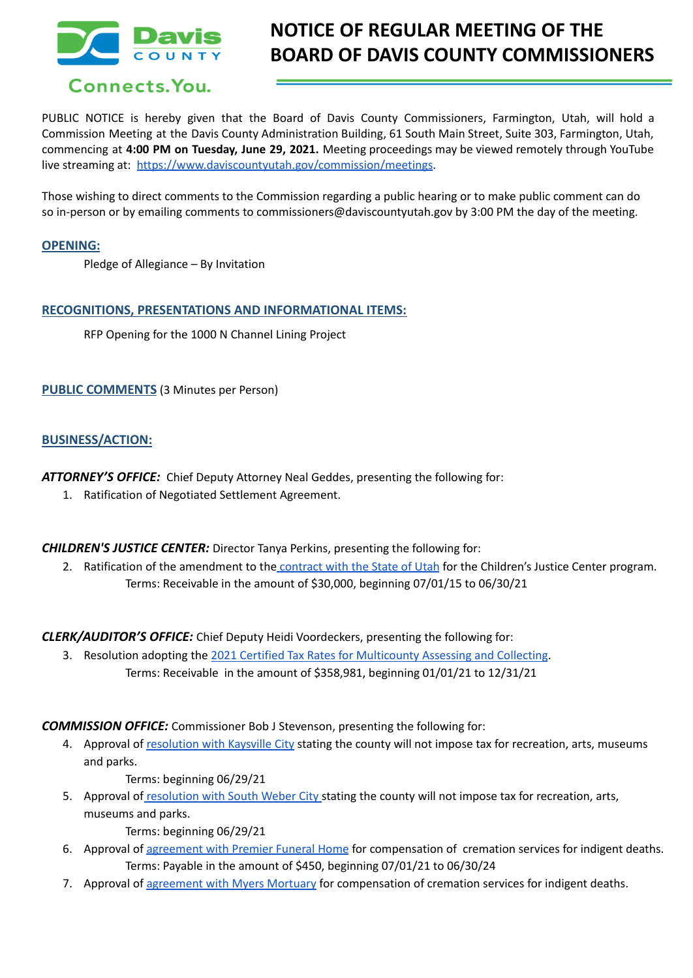

# **NOTICE OF REGULAR MEETING OF THE BOARD OF DAVIS COUNTY COMMISSIONERS**

PUBLIC NOTICE is hereby given that the Board of Davis County Commissioners, Farmington, Utah, will hold a Commission Meeting at the Davis County Administration Building, 61 South Main Street, Suite 303, Farmington, Utah, commencing at **4:00 PM on Tuesday, June 29, 2021.** Meeting proceedings may be viewed remotely through YouTube live streaming at: <https://www.daviscountyutah.gov/commission/meetings>.

Those wishing to direct comments to the Commission regarding a public hearing or to make public comment can do so in-person or by emailing comments to commissioners@daviscountyutah.gov by 3:00 PM the day of the meeting.

#### **OPENING:**

Pledge of Allegiance – By Invitation

#### **RECOGNITIONS, PRESENTATIONS AND INFORMATIONAL ITEMS:**

RFP Opening for the 1000 N Channel Lining Project

**PUBLIC COMMENTS** (3 Minutes per Person)

#### **BUSINESS/ACTION:**

*ATTORNEY'S OFFICE:* Chief Deputy Attorney Neal Geddes, presenting the following for:

1. Ratification of Negotiated Settlement Agreement.

*CHILDREN'S JUSTICE CENTER:* Director Tanya Perkins, presenting the following for:

2. Ratification of the amendment to the [contract](https://drive.google.com/file/d/1xM1i7T4x-4GJ4R90c0Uamg3to3g-oJ-E/view?usp=sharing) with the State of Utah for the Children's Justice Center program. Terms: Receivable in the amount of \$30,000, beginning 07/01/15 to 06/30/21

*CLERK/AUDITOR'S OFFICE:* Chief Deputy Heidi Voordeckers, presenting the following for:

3. Resolution adopting the 2021 Certified Tax Rates for [Multicounty](https://drive.google.com/file/d/1ZJJumEY1svw9QOxasr0jarktl75OhBv7/view?usp=sharing) Assessing and Collecting. Terms: Receivable in the amount of \$358,981, beginning 01/01/21 to 12/31/21

*COMMISSION OFFICE:* Commissioner Bob J Stevenson, presenting the following for:

4. Approval of [resolution](https://drive.google.com/file/d/1aGDXvKKsNbmQdRxZS7tP9Mx-Fq81HI8P/view?usp=sharing) with Kaysville City stating the county will not impose tax for recreation, arts, museums and parks.

Terms: beginning 06/29/21

5. Approval of [resolution](https://drive.google.com/file/d/1dhTXfqNh__OxClgm85GOmwJW6wo6daSO/view?usp=sharing) with South Weber City stating the county will not impose tax for recreation, arts, museums and parks.

Terms: beginning 06/29/21

- 6. Approval of [agreement](https://drive.google.com/file/d/1ppFtwtb7b0hju-KJ0codPmB_OD_1RQBm/view?usp=sharing) with Premier Funeral Home for compensation of cremation services for indigent deaths. Terms: Payable in the amount of \$450, beginning 07/01/21 to 06/30/24
- 7. Approval of [agreement](https://drive.google.com/file/d/1P9uhOD0PkVOZ9i2Yu6PqZgw3KLzFKA__/view?usp=sharing) with Myers Mortuary for compensation of cremation services for indigent deaths.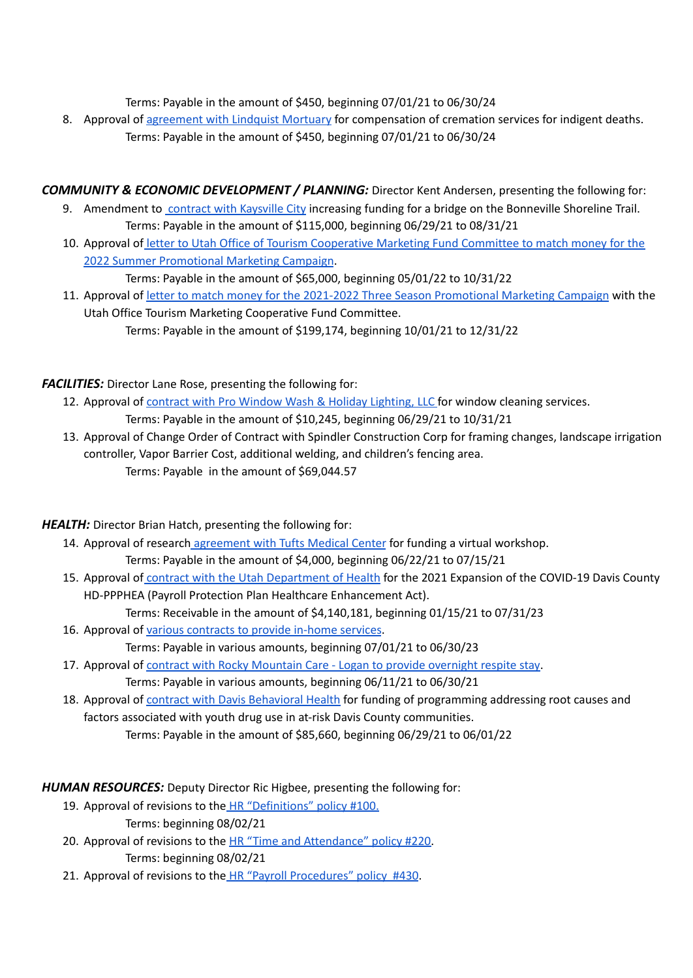Terms: Payable in the amount of \$450, beginning 07/01/21 to 06/30/24

8. Approval of [agreement](https://drive.google.com/file/d/1_z9DDFHZQxksWj38q_vJEHqM4sTeVubH/view?usp=sharing) with Lindquist Mortuary for compensation of cremation services for indigent deaths. Terms: Payable in the amount of \$450, beginning 07/01/21 to 06/30/24

## *COMMUNITY & ECONOMIC DEVELOPMENT / PLANNING:* Director Kent Andersen, presenting the following for:

- 9. Amendment to contract with [Kaysville](https://drive.google.com/file/d/1Ihw93fUZoYbwSr9b0A_x-pZJgVV3f2Z6/view?usp=sharing) City increasing funding for a bridge on the Bonneville Shoreline Trail. Terms: Payable in the amount of \$115,000, beginning 06/29/21 to 08/31/21
- 10. Approval of letter to Utah Office of Tourism [Cooperative](https://drive.google.com/file/d/1zSYa6XanRDWfYw34aMy0VMPARSKdJ8UP/view?usp=sharing) Marketing Fund Committee to match money for the 2022 Summer [Promotional](https://drive.google.com/file/d/1zSYa6XanRDWfYw34aMy0VMPARSKdJ8UP/view?usp=sharing) Marketing Campaign.

Terms: Payable in the amount of \$65,000, beginning 05/01/22 to 10/31/22

11. Approval of letter to match money for the 2021-2022 Three Season [Promotional](https://drive.google.com/file/d/1SNw4j-jwOG4GdL7Vw8_T9d3hGVwr7DQ9/view?usp=sharing) Marketing Campaign with the Utah Office Tourism Marketing Cooperative Fund Committee. Terms: Payable in the amount of \$199,174, beginning 10/01/21 to 12/31/22

*FACILITIES:* Director Lane Rose, presenting the following for:

- 12. Approval of contract with Pro Window Wash & Holiday [Lighting,](https://drive.google.com/file/d/1kqDxpnEU8r_417Yj3rD-vlStFZoH0ePy/view?usp=sharing) LLC for window cleaning services. Terms: Payable in the amount of \$10,245, beginning 06/29/21 to 10/31/21
- 13. Approval of Change Order of Contract with Spindler Construction Corp for framing changes, landscape irrigation controller, Vapor Barrier Cost, additional welding, and children's fencing area. Terms: Payable in the amount of \$69,044.57

## *HEALTH:* Director Brian Hatch, presenting the following for:

- 14. Approval of research [agreement](https://drive.google.com/file/d/1LUuPcQeqv2FFuDA4otqE77wk2_Sqtb7e/view?usp=sharing) with Tufts Medical Center for funding a virtual workshop. Terms: Payable in the amount of \$4,000, beginning 06/22/21 to 07/15/21
- 15. Approval of contract with the Utah [Department](https://drive.google.com/file/d/15S8XBs4Qa5g7x4-TGtdTVE8d__nwf5HA/view?usp=sharing) of Health for the 2021 Expansion of the COVID-19 Davis County HD-PPPHEA (Payroll Protection Plan Healthcare Enhancement Act).
	- Terms: Receivable in the amount of \$4,140,181, beginning 01/15/21 to 07/31/23
- 16. Approval of various [contracts](https://drive.google.com/file/d/1dSUm2QR7vMmL2uXXPeMasmV-zxtoRAHD/view?usp=sharing) to provide in-home services.
	- Terms: Payable in various amounts, beginning 07/01/21 to 06/30/23
- 17. Approval of contract with Rocky [Mountain](https://drive.google.com/file/d/1Ry0_8obFlZePaI3uLBVNnWcvrOuNPghj/view?usp=sharing) Care Logan to provide overnight respite stay. Terms: Payable in various amounts, beginning 06/11/21 to 06/30/21
- 18. Approval of contract with Davis [Behavioral](https://drive.google.com/file/d/1wQZzyhSROaOzIxBybH4jABugH_SNIMok/view?usp=sharing) Health for funding of programming addressing root causes and factors associated with youth drug use in at-risk Davis County communities. Terms: Payable in the amount of \$85,660, beginning 06/29/21 to 06/01/22

*HUMAN RESOURCES:* Deputy Director Ric Higbee, presenting the following for:

- 19. Approval of revisions to the HR ["Definitions"](https://drive.google.com/file/d/1-M61f6XUvjeWEYijewOTedQDr7m9Zh0t/view?usp=sharing) policy #100. Terms: beginning 08/02/21
- 20. Approval of revisions to the HR "Time and [Attendance"](https://drive.google.com/file/d/1-NwPX-wy5iOGVZg5cTJzeXmQiPtsiGF5/view?usp=sharing) policy #220. Terms: beginning 08/02/21
- 21. Approval of revisions to the HR "Payroll [Procedures"](https://drive.google.com/file/d/1-LkBskx1tQS9QuZIID-LwajisNxzPxP9/view?usp=sharing) policy #430.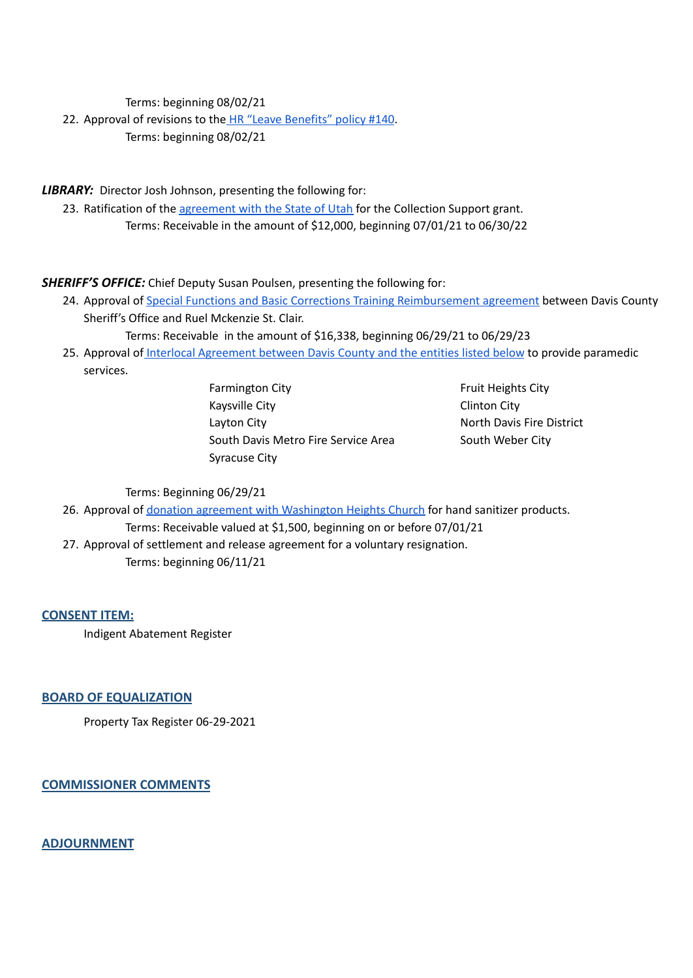Terms: beginning 08/02/21

22. Approval of revisions to the HR "Leave [Benefits"](https://drive.google.com/file/d/1-MYim9Hv7BmBOR3rwe2n1yqMAQ2MsBgT/view?usp=sharing) policy #140. Terms: beginning 08/02/21

*LIBRARY:* Director Josh Johnson, presenting the following for:

23. Ratification of the [agreement](https://drive.google.com/file/d/1gym87jV452LSv3b6tU3CI1FTivF5r1QA/view?usp=sharing) with the State of Utah for the Collection Support grant. Terms: Receivable in the amount of \$12,000, beginning 07/01/21 to 06/30/22

*SHERIFF'S OFFICE:* Chief Deputy Susan Poulsen, presenting the following for:

24. Approval of Special Functions and Basic Corrections Training [Reimbursement](https://drive.google.com/file/d/13bFiGPWIxUki52L7p26quicLedLIdVT_/view?usp=sharing) agreement between Davis County Sheriff's Office and Ruel Mckenzie St. Clair.

Terms: Receivable in the amount of \$16,338, beginning 06/29/21 to 06/29/23

25. Approval of Interlocal [Agreement](https://drive.google.com/file/d/1X36wx4NnbAbVJ2y5Iwf6XnxSq-UGLTuu/view?usp=sharing) between Davis County and the entities listed below to provide paramedic services.

> Farmington City **Farmington City Fruit Heights City** Kaysville City **Clinton City** Layton City **No. 2018** North Davis Fire District South Davis Metro Fire Service Area South Weber City Syracuse City

Terms: Beginning 06/29/21

26. Approval of donation agreement with [Washington](https://drive.google.com/file/d/10X73RdPxU-N6EsrWT2iqOQGZyxxi2WPX/view?usp=sharing) Heights Church for hand sanitizer products.

Terms: Receivable valued at \$1,500, beginning on or before 07/01/21 27. Approval of settlement and release agreement for a voluntary resignation. Terms: beginning 06/11/21

**CONSENT ITEM:**

Indigent Abatement Register

**BOARD OF EQUALIZATION**

Property Tax Register 06-29-2021

**COMMISSIONER COMMENTS**

**ADJOURNMENT**